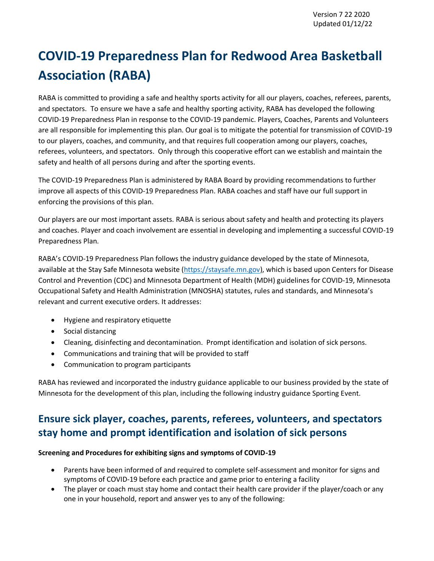# **COVID-19 Preparedness Plan for Redwood Area Basketball Association (RABA)**

RABA is committed to providing a safe and healthy sports activity for all our players, coaches, referees, parents, and spectators. To ensure we have a safe and healthy sporting activity, RABA has developed the following COVID-19 Preparedness Plan in response to the COVID-19 pandemic. Players, Coaches, Parents and Volunteers are all responsible for implementing this plan. Our goal is to mitigate the potential for transmission of COVID-19 to our players, coaches, and community, and that requires full cooperation among our players, coaches, referees, volunteers, and spectators. Only through this cooperative effort can we establish and maintain the safety and health of all persons during and after the sporting events.

The COVID-19 Preparedness Plan is administered by RABA Board by providing recommendations to further improve all aspects of this COVID-19 Preparedness Plan. RABA coaches and staff have our full support in enforcing the provisions of this plan.

Our players are our most important assets. RABA is serious about safety and health and protecting its players and coaches. Player and coach involvement are essential in developing and implementing a successful COVID-19 Preparedness Plan.

RABA's COVID-19 Preparedness Plan follows the industry guidance developed by the state of Minnesota, available at the Stay Safe Minnesota website [\(https://staysafe.mn.gov\)](https://staysafe.mn.gov/), which is based upon Centers for Disease Control and Prevention (CDC) and Minnesota Department of Health (MDH) guidelines for COVID-19, Minnesota Occupational Safety and Health Administration (MNOSHA) statutes, rules and standards, and Minnesota's relevant and current executive orders. It addresses:

- Hygiene and respiratory etiquette
- Social distancing
- Cleaning, disinfecting and decontamination. Prompt identification and isolation of sick persons.
- Communications and training that will be provided to staff
- Communication to program participants

RABA has reviewed and incorporated the industry guidance applicable to our business provided by the state of Minnesota for the development of this plan, including the following industry guidance Sporting Event.

# **Ensure sick player, coaches, parents, referees, volunteers, and spectators stay home and prompt identification and isolation of sick persons**

### **Screening and Procedures for exhibiting signs and symptoms of COVID-19**

- Parents have been informed of and required to complete self-assessment and monitor for signs and symptoms of COVID-19 before each practice and game prior to entering a facility
- The player or coach must stay home and contact their health care provider if the player/coach or any one in your household, report and answer yes to any of the following: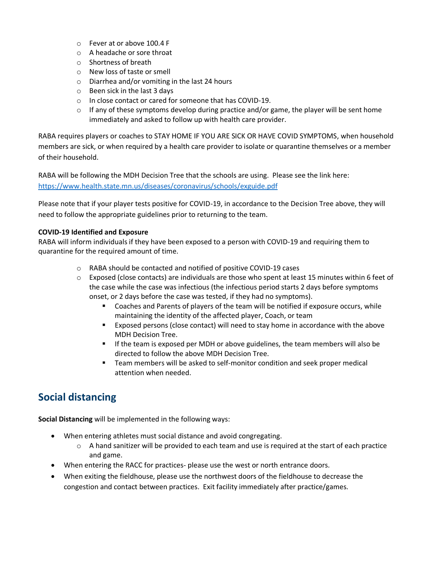- o Fever at or above 100.4 F
- o A headache or sore throat
- o Shortness of breath
- o New loss of taste or smell
- o Diarrhea and/or vomiting in the last 24 hours
- o Been sick in the last 3 days
- o In close contact or cared for someone that has COVID-19.
- $\circ$  If any of these symptoms develop during practice and/or game, the player will be sent home immediately and asked to follow up with health care provider.

RABA requires players or coaches to STAY HOME IF YOU ARE SICK OR HAVE COVID SYMPTOMS, when household members are sick, or when required by a health care provider to isolate or quarantine themselves or a member of their household.

RABA will be following the MDH Decision Tree that the schools are using. Please see the link here: <https://www.health.state.mn.us/diseases/coronavirus/schools/exguide.pdf>

Please note that if your player tests positive for COVID-19, in accordance to the Decision Tree above, they will need to follow the appropriate guidelines prior to returning to the team.

### **COVID-19 Identified and Exposure**

RABA will inform individuals if they have been exposed to a person with COVID-19 and requiring them to quarantine for the required amount of time.

- o RABA should be contacted and notified of positive COVID-19 cases
- $\circ$  Exposed (close contacts) are individuals are those who spent at least 15 minutes within 6 feet of the case while the case was infectious (the infectious period starts 2 days before symptoms onset, or 2 days before the case was tested, if they had no symptoms).
	- Coaches and Parents of players of the team will be notified if exposure occurs, while maintaining the identity of the affected player, Coach, or team
	- Exposed persons (close contact) will need to stay home in accordance with the above MDH Decision Tree.
	- If the team is exposed per MDH or above guidelines, the team members will also be directed to follow the above MDH Decision Tree.
	- Team members will be asked to self-monitor condition and seek proper medical attention when needed.

# **Social distancing**

**Social Distancing** will be implemented in the following ways:

- When entering athletes must social distance and avoid congregating.
	- $\circ$  A hand sanitizer will be provided to each team and use is required at the start of each practice and game.
- When entering the RACC for practices- please use the west or north entrance doors.
- When exiting the fieldhouse, please use the northwest doors of the fieldhouse to decrease the congestion and contact between practices. Exit facility immediately after practice/games.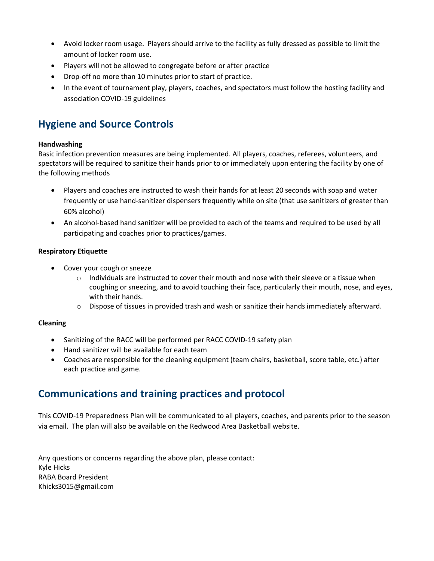- Avoid locker room usage. Players should arrive to the facility as fully dressed as possible to limit the amount of locker room use.
- Players will not be allowed to congregate before or after practice
- Drop-off no more than 10 minutes prior to start of practice.
- In the event of tournament play, players, coaches, and spectators must follow the hosting facility and association COVID-19 guidelines

# **Hygiene and Source Controls**

#### **Handwashing**

Basic infection prevention measures are being implemented. All players, coaches, referees, volunteers, and spectators will be required to sanitize their hands prior to or immediately upon entering the facility by one of the following methods

- Players and coaches are instructed to wash their hands for at least 20 seconds with soap and water frequently or use hand-sanitizer dispensers frequently while on site (that use sanitizers of greater than 60% alcohol)
- An alcohol-based hand sanitizer will be provided to each of the teams and required to be used by all participating and coaches prior to practices/games.

### **Respiratory Etiquette**

- Cover your cough or sneeze
	- $\circ$  Individuals are instructed to cover their mouth and nose with their sleeve or a tissue when coughing or sneezing, and to avoid touching their face, particularly their mouth, nose, and eyes, with their hands.
	- $\circ$  Dispose of tissues in provided trash and wash or sanitize their hands immediately afterward.

### **Cleaning**

- Sanitizing of the RACC will be performed per RACC COVID-19 safety plan
- Hand sanitizer will be available for each team
- Coaches are responsible for the cleaning equipment (team chairs, basketball, score table, etc.) after each practice and game.

# **Communications and training practices and protocol**

This COVID-19 Preparedness Plan will be communicated to all players, coaches, and parents prior to the season via email. The plan will also be available on the Redwood Area Basketball website.

Any questions or concerns regarding the above plan, please contact: Kyle Hicks RABA Board President Khicks3015@gmail.com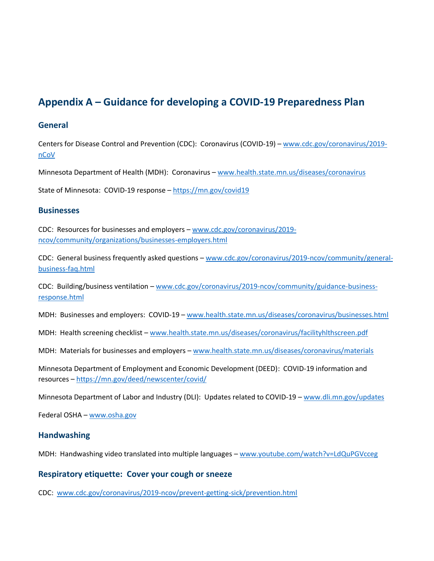# **Appendix A – Guidance for developing a COVID-19 Preparedness Plan**

### **General**

Centers for Disease Control and Prevention (CDC): Coronavirus (COVID-19) – [www.cdc.gov/coronavirus/2019](http://www.cdc.gov/coronavirus/2019-nCoV) [nCoV](http://www.cdc.gov/coronavirus/2019-nCoV)

Minnesota Department of Health (MDH): Coronavirus – [www.health.state.mn.us/diseases/coronavirus](http://www.health.state.mn.us/diseases/coronavirus)

State of Minnesota: COVID-19 response – [https://mn.gov/covid19](https://mn.gov/covid19/)

### **Businesses**

CDC: Resources for businesses and employers – [www.cdc.gov/coronavirus/2019](http://www.cdc.gov/coronavirus/2019-ncov/community/organizations/businesses-employers.html) [ncov/community/organizations/businesses-employers.html](http://www.cdc.gov/coronavirus/2019-ncov/community/organizations/businesses-employers.html)

CDC: General business frequently asked questions – [www.cdc.gov/coronavirus/2019-ncov/community/general](http://www.cdc.gov/coronavirus/2019-ncov/community/general-business-faq.html)[business-faq.html](http://www.cdc.gov/coronavirus/2019-ncov/community/general-business-faq.html)

CDC: Building/business ventilation – [www.cdc.gov/coronavirus/2019-ncov/community/guidance-business](http://www.cdc.gov/coronavirus/2019-ncov/community/guidance-business-response.html)[response.html](http://www.cdc.gov/coronavirus/2019-ncov/community/guidance-business-response.html)

MDH: Businesses and employers: COVID-19 – [www.health.state.mn.us/diseases/coronavirus/businesses.html](http://www.health.state.mn.us/diseases/coronavirus/businesses.html)

MDH: Health screening checklist – [www.health.state.mn.us/diseases/coronavirus/facilityhlthscreen.pdf](http://www.health.state.mn.us/diseases/coronavirus/facilityhlthscreen.pdf)

MDH: Materials for businesses and employers – [www.health.state.mn.us/diseases/coronavirus/materials](http://www.health.state.mn.us/diseases/coronavirus/materials)

Minnesota Department of Employment and Economic Development (DEED): COVID-19 information and resources – <https://mn.gov/deed/newscenter/covid/>

Minnesota Department of Labor and Industry (DLI): Updates related to COVID-19 – [www.dli.mn.gov/updates](http://www.dli.mn.gov/updates)

Federal OSHA – [www.osha.gov](http://www.osha.gov/)

### **Handwashing**

MDH: Handwashing video translated into multiple languages – [www.youtube.com/watch?v=LdQuPGVcceg](http://www.youtube.com/watch?v=LdQuPGVcceg)

### **Respiratory etiquette: Cover your cough or sneeze**

CDC: [www.cdc.gov/coronavirus/2019-ncov/prevent-getting-sick/prevention.html](http://www.cdc.gov/coronavirus/2019-ncov/prevent-getting-sick/prevention.html)